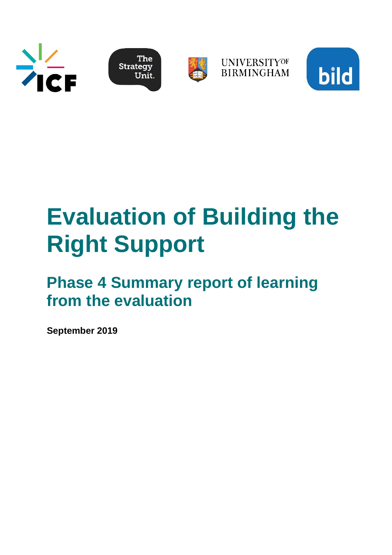









# **Evaluation of Building the Right Support**

## **Phase 4 Summary report of learning from the evaluation**

**September 2019**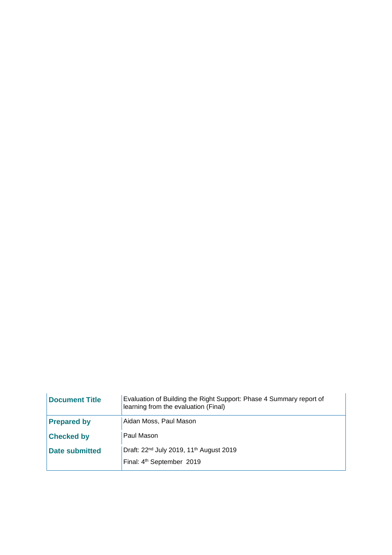| <b>Document Title</b> | Evaluation of Building the Right Support: Phase 4 Summary report of<br>learning from the evaluation (Final) |
|-----------------------|-------------------------------------------------------------------------------------------------------------|
| <b>Prepared by</b>    | Aidan Moss, Paul Mason                                                                                      |
| <b>Checked by</b>     | Paul Mason                                                                                                  |
| <b>Date submitted</b> | Draft: 22 <sup>nd</sup> July 2019, 11 <sup>th</sup> August 2019                                             |
|                       | Final: 4 <sup>th</sup> September 2019                                                                       |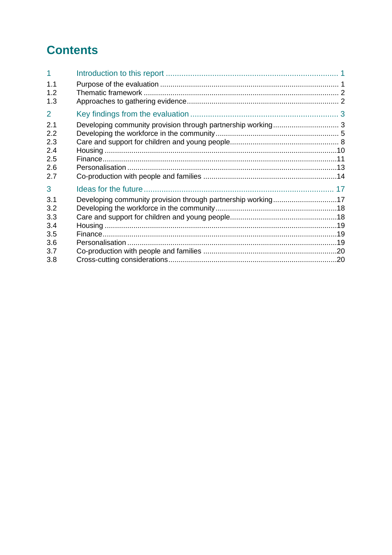## **Contents**

| $\mathbf{1}$                                         |                                                              |  |
|------------------------------------------------------|--------------------------------------------------------------|--|
| 1.1<br>1.2<br>1.3                                    |                                                              |  |
| 2                                                    |                                                              |  |
| 2.1<br>2.2                                           | Developing community provision through partnership working 3 |  |
| 2.3<br>2.4                                           |                                                              |  |
| 2.5<br>2.6                                           |                                                              |  |
| 2.7<br>3                                             |                                                              |  |
| 3.1<br>3.2<br>3.3<br>3.4<br>3.5<br>3.6<br>3.7<br>3.8 | Developing community provision through partnership working17 |  |
|                                                      |                                                              |  |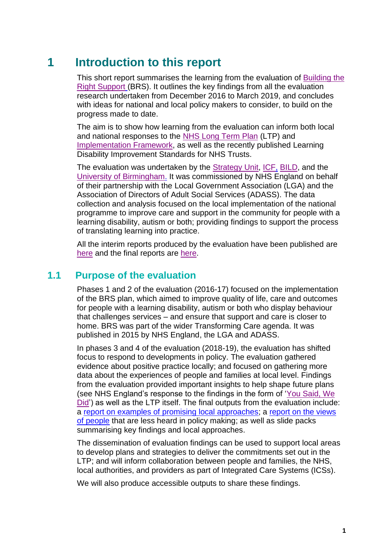## <span id="page-3-0"></span>**1 Introduction to this report**

This short report summarises the learning from the evaluation of [Building the](https://www.england.nhs.uk/learning-disabilities/natplan/)  [Right Support](https://www.england.nhs.uk/learning-disabilities/natplan/) (BRS). It outlines the key findings from all the evaluation research undertaken from December 2016 to March 2019, and concludes with ideas for national and local policy makers to consider, to build on the progress made to date.

The aim is to show how learning from the evaluation can inform both local and national responses to the [NHS Long Term Plan](https://www.longtermplan.nhs.uk/online-version/chapter-3-further-progress-on-care-quality-and-outcomes/a-strong-start-in-life-for-children-and-young-people/learning-disability-and-autism/) (LTP) and [Implementation Framework,](https://www.longtermplan.nhs.uk/implementation-framework/) as well as the recently published Learning Disability Improvement Standards for NHS Trusts.

The evaluation was undertaken by the [Strategy Unit,](http://www.strategyunitwm.nhs.uk/) [ICF,](https://www.icf.com/company/locations/european-region) [BILD,](http://www.bild.org.uk/about-bild/aboutbild/) and the [University of Birmingham.](https://www.birmingham.ac.uk/schools/social-policy/departments/health-services-management-centre/index.aspx) It was commissioned by NHS England on behalf of their partnership with the Local Government Association (LGA) and the Association of Directors of Adult Social Services (ADASS). The data collection and analysis focused on the local implementation of the national programme to improve care and support in the community for people with a learning disability, autism or both; providing findings to support the process of translating learning into practice.

All the interim reports produced by the evaluation have been published are [here](https://www.strategyunitwm.nhs.uk/publications/building-right-support) and the final reports are [here.](https://www.strategyunitwm.nhs.uk/publications/evaluation-building-right-support-final-reports)

## <span id="page-3-1"></span>**1.1 Purpose of the evaluation**

Phases 1 and 2 of the evaluation (2016-17) focused on the implementation of the BRS plan, which aimed to improve quality of life, care and outcomes for people with a learning disability, autism or both who display behaviour that challenges services – and ensure that support and care is closer to home. BRS was part of the wider Transforming Care agenda. It was published in 2015 by NHS England, the LGA and ADASS.

In phases 3 and 4 of the evaluation (2018-19), the evaluation has shifted focus to respond to developments in policy. The evaluation gathered evidence about positive practice locally; and focused on gathering more data about the experiences of people and families at local level. Findings from the evaluation provided important insights to help shape future plans (see NHS England's response to the findings in the form of ['You Said, We](https://www.strategyunitwm.nhs.uk/sites/default/files/2021-11/B0952%20-%20Report%20-%20Independent%20evaluation%20of%20Building%20the%20Right%20Support%20-%20easy%20read%20FINAL%20V6.pdf)  [Did'](https://www.strategyunitwm.nhs.uk/sites/default/files/2021-11/B0952%20-%20Report%20-%20Independent%20evaluation%20of%20Building%20the%20Right%20Support%20-%20easy%20read%20FINAL%20V6.pdf)) as well as the LTP itself. The final outputs from the evaluation include: a [report on examples of promising local approaches;](https://www.strategyunitwm.nhs.uk/sites/default/files/2021-11/B0952%20-%20Report%20-%20Independent%20evaluation%20of%20Building%20the%20Right%20Support%20-%20Case%20study%20report.pdf) a [report on the views](https://www.strategyunitwm.nhs.uk/sites/default/files/2021-11/B0952%20-%20Report%20-%20Independent%20evaluation%20of%20Building%20the%20Right%20Support%20-%20People%20less%20heard%20report.pdf)  [of people](https://www.strategyunitwm.nhs.uk/sites/default/files/2021-11/B0952%20-%20Report%20-%20Independent%20evaluation%20of%20Building%20the%20Right%20Support%20-%20People%20less%20heard%20report.pdf) that are less heard in policy making; as well as slide packs summarising key findings and local approaches.

The dissemination of evaluation findings can be used to support local areas to develop plans and strategies to deliver the commitments set out in the LTP; and will inform collaboration between people and families, the NHS, local authorities, and providers as part of Integrated Care Systems (ICSs).

We will also produce accessible outputs to share these findings.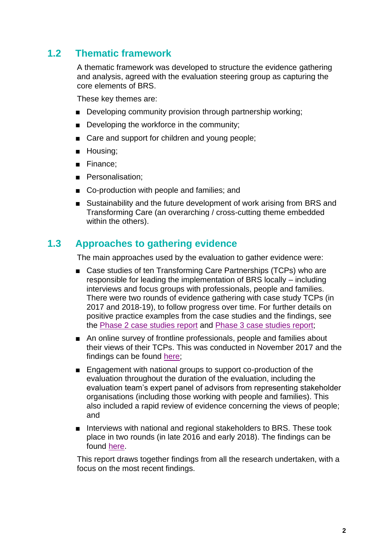## <span id="page-4-0"></span>**1.2 Thematic framework**

A thematic framework was developed to structure the evidence gathering and analysis, agreed with the evaluation steering group as capturing the core elements of BRS.

These key themes are:

- Developing community provision through partnership working;
- Developing the workforce in the community;
- Care and support for children and young people;
- Housing;
- Finance:
- Personalisation:
- Co-production with people and families; and
- Sustainability and the future development of work arising from BRS and Transforming Care (an overarching / cross-cutting theme embedded within the others).

## <span id="page-4-1"></span>**1.3 Approaches to gathering evidence**

The main approaches used by the evaluation to gather evidence were:

- Case studies of ten Transforming Care Partnerships (TCPs) who are responsible for leading the implementation of BRS locally – including interviews and focus groups with professionals, people and families. There were two rounds of evidence gathering with case study TCPs (in 2017 and 2018-19), to follow progress over time. For further details on positive practice examples from the case studies and the findings, see the [Phase 2 case studies report](https://www.strategyunitwm.nhs.uk/sites/default/files/2019-01/4%20Case%20Study%20Report.pdf) and [Phase 3 case studies report;](https://www.strategyunitwm.nhs.uk/sites/default/files/2021-11/B0952%20-%20Report%20-%20Independent%20evaluation%20of%20Building%20the%20Right%20Support%20-%20Case%20study%20report.pdf)
- An online survey of frontline professionals, people and families about their views of their TCPs. This was conducted in November 2017 and the findings can be found [here;](https://www.strategyunitwm.nhs.uk/sites/default/files/2019-01/6%20Survey%20Report.pdf)
- Engagement with national groups to support co-production of the evaluation throughout the duration of the evaluation, including the evaluation team's expert panel of advisors from representing stakeholder organisations (including those working with people and families). This also included a rapid review of evidence concerning the views of people; and
- Interviews with national and regional stakeholders to BRS. These took place in two rounds (in late 2016 and early 2018). The findings can be found [here.](https://www.strategyunitwm.nhs.uk/sites/default/files/2019-01/5%20Stakeholder%20Report.pdf)

This report draws together findings from all the research undertaken, with a focus on the most recent findings.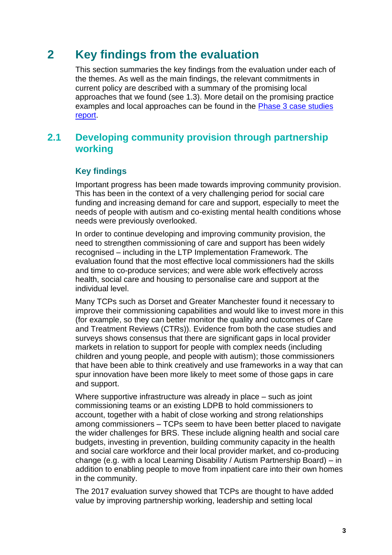## <span id="page-5-0"></span>**2 Key findings from the evaluation**

This section summaries the key findings from the evaluation under each of the themes. As well as the main findings, the relevant commitments in current policy are described with a summary of the promising local approaches that we found (see [1.3\)](#page-4-1). More detail on the promising practice examples and local approaches can be found in the [Phase 3 case studies](https://www.strategyunitwm.nhs.uk/sites/default/files/2021-11/B0952%20-%20Report%20-%20Independent%20evaluation%20of%20Building%20the%20Right%20Support%20-%20Case%20study%20report.pdf)  [report.](https://www.strategyunitwm.nhs.uk/sites/default/files/2021-11/B0952%20-%20Report%20-%20Independent%20evaluation%20of%20Building%20the%20Right%20Support%20-%20Case%20study%20report.pdf)

## <span id="page-5-1"></span>**2.1 Developing community provision through partnership working**

#### **Key findings**

Important progress has been made towards improving community provision. This has been in the context of a very challenging period for social care funding and increasing demand for care and support, especially to meet the needs of people with autism and co-existing mental health conditions whose needs were previously overlooked.

In order to continue developing and improving community provision, the need to strengthen commissioning of care and support has been widely recognised – including in the LTP Implementation Framework. The evaluation found that the most effective local commissioners had the skills and time to co-produce services; and were able work effectively across health, social care and housing to personalise care and support at the individual level.

Many TCPs such as Dorset and Greater Manchester found it necessary to improve their commissioning capabilities and would like to invest more in this (for example, so they can better monitor the quality and outcomes of Care and Treatment Reviews (CTRs)). Evidence from both the case studies and surveys shows consensus that there are significant gaps in local provider markets in relation to support for people with complex needs (including children and young people, and people with autism); those commissioners that have been able to think creatively and use frameworks in a way that can spur innovation have been more likely to meet some of those gaps in care and support.

Where supportive infrastructure was already in place – such as joint commissioning teams or an existing LDPB to hold commissioners to account, together with a habit of close working and strong relationships among commissioners – TCPs seem to have been better placed to navigate the wider challenges for BRS. These include aligning health and social care budgets, investing in prevention, building community capacity in the health and social care workforce and their local provider market, and co-producing change (e.g. with a local Learning Disability / Autism Partnership Board) – in addition to enabling people to move from inpatient care into their own homes in the community.

The 2017 evaluation survey showed that TCPs are thought to have added value by improving partnership working, leadership and setting local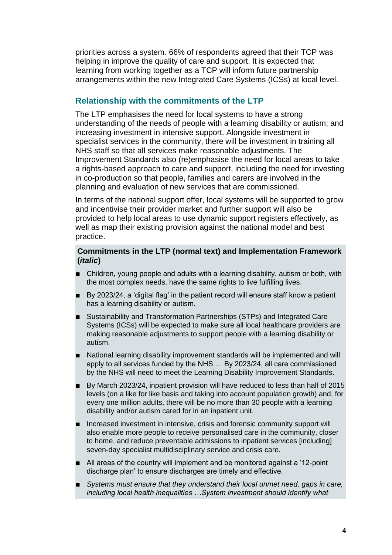priorities across a system. 66% of respondents agreed that their TCP was helping in improve the quality of care and support. It is expected that learning from working together as a TCP will inform future partnership arrangements within the new Integrated Care Systems (ICSs) at local level.

#### **Relationship with the commitments of the LTP**

The LTP emphasises the need for local systems to have a strong understanding of the needs of people with a learning disability or autism; and increasing investment in intensive support. Alongside investment in specialist services in the community, there will be investment in training all NHS staff so that all services make reasonable adjustments. The Improvement Standards also (re)emphasise the need for local areas to take a rights-based approach to care and support, including the need for investing in co-production so that people, families and carers are involved in the planning and evaluation of new services that are commissioned.

In terms of the national support offer, local systems will be supported to grow and incentivise their provider market and further support will also be provided to help local areas to use dynamic support registers effectively, as well as map their existing provision against the national model and best practice.

#### **Commitments in the LTP (normal text) and Implementation Framework (***italic***)**

- Children, young people and adults with a learning disability, autism or both, with the most complex needs, have the same rights to live fulfilling lives.
- By 2023/24, a 'digital flag' in the patient record will ensure staff know a patient has a learning disability or autism.
- Sustainability and Transformation Partnerships (STPs) and Integrated Care Systems (ICSs) will be expected to make sure all local healthcare providers are making reasonable adjustments to support people with a learning disability or autism.
- National learning disability improvement standards will be implemented and will apply to all services funded by the NHS … By 2023/24, all care commissioned by the NHS will need to meet the Learning Disability Improvement Standards.
- By March 2023/24, inpatient provision will have reduced to less than half of 2015 levels (on a like for like basis and taking into account population growth) and, for every one million adults, there will be no more than 30 people with a learning disability and/or autism cared for in an inpatient unit.
- Increased investment in intensive, crisis and forensic community support will also enable more people to receive personalised care in the community, closer to home, and reduce preventable admissions to inpatient services [including] seven-day specialist multidisciplinary service and crisis care.
- All areas of the country will implement and be monitored against a '12-point discharge plan' to ensure discharges are timely and effective.
- Systems must ensure that they understand their local unmet need, gaps in care, *including local health inequalities …System investment should identify what*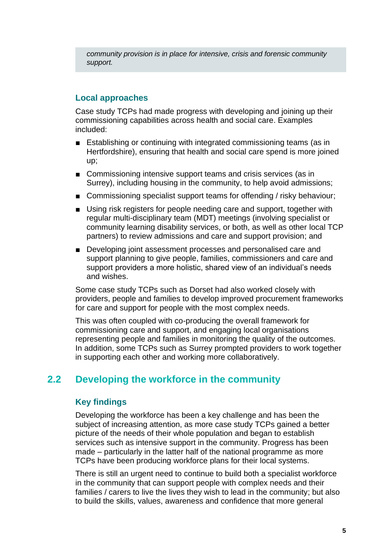*community provision is in place for intensive, crisis and forensic community support.* 

## **Local approaches**

Case study TCPs had made progress with developing and joining up their commissioning capabilities across health and social care. Examples included:

- Establishing or continuing with integrated commissioning teams (as in Hertfordshire), ensuring that health and social care spend is more joined up;
- Commissioning intensive support teams and crisis services (as in Surrey), including housing in the community, to help avoid admissions;
- Commissioning specialist support teams for offending / risky behaviour;
- Using risk registers for people needing care and support, together with regular multi-disciplinary team (MDT) meetings (involving specialist or community learning disability services, or both, as well as other local TCP partners) to review admissions and care and support provision; and
- Developing joint assessment processes and personalised care and support planning to give people, families, commissioners and care and support providers a more holistic, shared view of an individual's needs and wishes.

Some case study TCPs such as Dorset had also worked closely with providers, people and families to develop improved procurement frameworks for care and support for people with the most complex needs.

This was often coupled with co-producing the overall framework for commissioning care and support, and engaging local organisations representing people and families in monitoring the quality of the outcomes. In addition, some TCPs such as Surrey prompted providers to work together in supporting each other and working more collaboratively.

## <span id="page-7-0"></span>**2.2 Developing the workforce in the community**

## **Key findings**

Developing the workforce has been a key challenge and has been the subject of increasing attention, as more case study TCPs gained a better picture of the needs of their whole population and began to establish services such as intensive support in the community. Progress has been made – particularly in the latter half of the national programme as more TCPs have been producing workforce plans for their local systems.

There is still an urgent need to continue to build both a specialist workforce in the community that can support people with complex needs and their families / carers to live the lives they wish to lead in the community; but also to build the skills, values, awareness and confidence that more general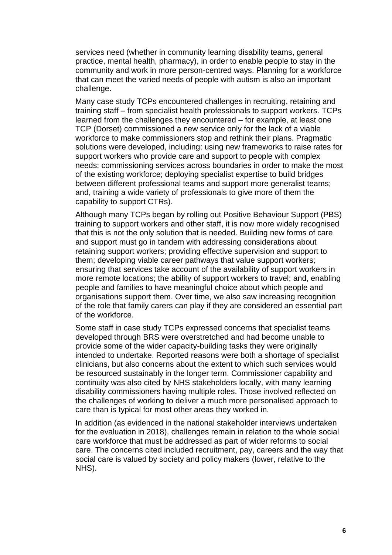services need (whether in community learning disability teams, general practice, mental health, pharmacy), in order to enable people to stay in the community and work in more person-centred ways. Planning for a workforce that can meet the varied needs of people with autism is also an important challenge.

Many case study TCPs encountered challenges in recruiting, retaining and training staff – from specialist health professionals to support workers. TCPs learned from the challenges they encountered – for example, at least one TCP (Dorset) commissioned a new service only for the lack of a viable workforce to make commissioners stop and rethink their plans. Pragmatic solutions were developed, including: using new frameworks to raise rates for support workers who provide care and support to people with complex needs; commissioning services across boundaries in order to make the most of the existing workforce; deploying specialist expertise to build bridges between different professional teams and support more generalist teams; and, training a wide variety of professionals to give more of them the capability to support CTRs).

Although many TCPs began by rolling out Positive Behaviour Support (PBS) training to support workers and other staff, it is now more widely recognised that this is not the only solution that is needed. Building new forms of care and support must go in tandem with addressing considerations about retaining support workers; providing effective supervision and support to them; developing viable career pathways that value support workers; ensuring that services take account of the availability of support workers in more remote locations; the ability of support workers to travel; and, enabling people and families to have meaningful choice about which people and organisations support them. Over time, we also saw increasing recognition of the role that family carers can play if they are considered an essential part of the workforce.

Some staff in case study TCPs expressed concerns that specialist teams developed through BRS were overstretched and had become unable to provide some of the wider capacity-building tasks they were originally intended to undertake. Reported reasons were both a shortage of specialist clinicians, but also concerns about the extent to which such services would be resourced sustainably in the longer term. Commissioner capability and continuity was also cited by NHS stakeholders locally, with many learning disability commissioners having multiple roles. Those involved reflected on the challenges of working to deliver a much more personalised approach to care than is typical for most other areas they worked in.

In addition (as evidenced in the national stakeholder interviews undertaken for the evaluation in 2018), challenges remain in relation to the whole social care workforce that must be addressed as part of wider reforms to social care. The concerns cited included recruitment, pay, careers and the way that social care is valued by society and policy makers (lower, relative to the NHS).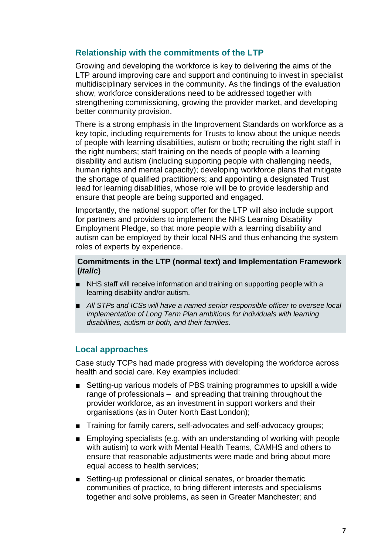#### **Relationship with the commitments of the LTP**

Growing and developing the workforce is key to delivering the aims of the LTP around improving care and support and continuing to invest in specialist multidisciplinary services in the community. As the findings of the evaluation show, workforce considerations need to be addressed together with strengthening commissioning, growing the provider market, and developing better community provision.

There is a strong emphasis in the Improvement Standards on workforce as a key topic, including requirements for Trusts to know about the unique needs of people with learning disabilities, autism or both; recruiting the right staff in the right numbers; staff training on the needs of people with a learning disability and autism (including supporting people with challenging needs, human rights and mental capacity); developing workforce plans that mitigate the shortage of qualified practitioners; and appointing a designated Trust lead for learning disabilities, whose role will be to provide leadership and ensure that people are being supported and engaged.

Importantly, the national support offer for the LTP will also include support for partners and providers to implement the NHS Learning Disability Employment Pledge, so that more people with a learning disability and autism can be employed by their local NHS and thus enhancing the system roles of experts by experience.

#### **Commitments in the LTP (normal text) and Implementation Framework (***italic***)**

- NHS staff will receive information and training on supporting people with a learning disability and/or autism.
- All STPs and ICSs will have a named senior responsible officer to oversee local *implementation of Long Term Plan ambitions for individuals with learning disabilities, autism or both, and their families.*

#### **Local approaches**

Case study TCPs had made progress with developing the workforce across health and social care. Key examples included:

- Setting-up various models of PBS training programmes to upskill a wide range of professionals – and spreading that training throughout the provider workforce, as an investment in support workers and their organisations (as in Outer North East London);
- Training for family carers, self-advocates and self-advocacy groups;
- Employing specialists (e.g. with an understanding of working with people with autism) to work with Mental Health Teams, CAMHS and others to ensure that reasonable adjustments were made and bring about more equal access to health services;
- Setting-up professional or clinical senates, or broader thematic communities of practice, to bring different interests and specialisms together and solve problems, as seen in Greater Manchester; and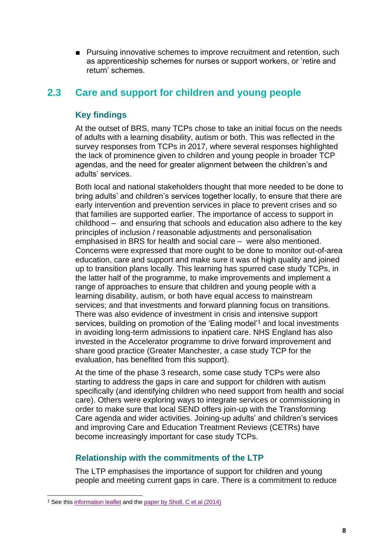■ Pursuing innovative schemes to improve recruitment and retention, such as apprenticeship schemes for nurses or support workers, or 'retire and return' schemes.

## <span id="page-10-0"></span>**2.3 Care and support for children and young people**

## **Key findings**

At the outset of BRS, many TCPs chose to take an initial focus on the needs of adults with a learning disability, autism or both. This was reflected in the survey responses from TCPs in 2017, where several responses highlighted the lack of prominence given to children and young people in broader TCP agendas, and the need for greater alignment between the children's and adults' services.

Both local and national stakeholders thought that more needed to be done to bring adults' and children's services together locally, to ensure that there are early intervention and prevention services in place to prevent crises and so that families are supported earlier. The importance of access to support in childhood – and ensuring that schools and education also adhere to the key principles of inclusion / reasonable adjustments and personalisation emphasised in BRS for health and social care – were also mentioned. Concerns were expressed that more ought to be done to monitor out-of-area education, care and support and make sure it was of high quality and joined up to transition plans locally. This learning has spurred case study TCPs, in the latter half of the programme, to make improvements and implement a range of approaches to ensure that children and young people with a learning disability, autism, or both have equal access to mainstream services; and that investments and forward planning focus on transitions. There was also evidence of investment in crisis and intensive support services, building on promotion of the 'Ealing model'<sup>1</sup> and local investments in avoiding long-term admissions to inpatient care. NHS England has also invested in the Accelerator programme to drive forward improvement and share good practice (Greater Manchester, a case study TCP for the evaluation, has benefited from this support).

At the time of the phase 3 research, some case study TCPs were also starting to address the gaps in care and support for children with autism specifically (and identifying children who need support from health and social care). Others were exploring ways to integrate services or commissioning in order to make sure that local SEND offers join-up with the Transforming Care agenda and wider activities. Joining-up adults' and children's services and improving Care and Education Treatment Reviews (CETRs) have become increasingly important for case study TCPs.

## **Relationship with the commitments of the LTP**

The LTP emphasises the importance of support for children and young people and meeting current gaps in care. There is a commitment to reduce

<sup>1</sup> See this [information leaflet](https://www.ealing.gov.uk/download/downloads/id/8505/information_about_the_intensive_therapeutic_and_short_breaks_service.pdf) and the [paper by Sholl, C et al \(2014\)](http://pavingtheway.works/project/wp-content/uploads/2015/11/Sholl-Reid-Udwin-preventing-residential-care-for-young-people-with-intellectual-disabilities-and-challenging-behaviours.pdf)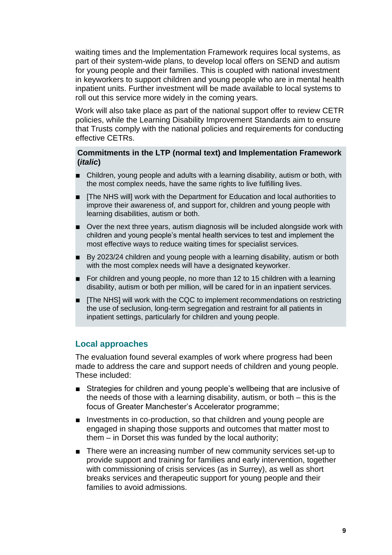waiting times and the Implementation Framework requires local systems, as part of their system-wide plans, to develop local offers on SEND and autism for young people and their families. This is coupled with national investment in keyworkers to support children and young people who are in mental health inpatient units. Further investment will be made available to local systems to roll out this service more widely in the coming years.

Work will also take place as part of the national support offer to review CETR policies, while the Learning Disability Improvement Standards aim to ensure that Trusts comply with the national policies and requirements for conducting effective CETRs.

#### **Commitments in the LTP (normal text) and Implementation Framework (***italic***)**

- Children, young people and adults with a learning disability, autism or both, with the most complex needs, have the same rights to live fulfilling lives.
- [The NHS will] work with the Department for Education and local authorities to improve their awareness of, and support for, children and young people with learning disabilities, autism or both.
- Over the next three years, autism diagnosis will be included alongside work with children and young people's mental health services to test and implement the most effective ways to reduce waiting times for specialist services.
- By 2023/24 children and young people with a learning disability, autism or both with the most complex needs will have a designated keyworker.
- For children and young people, no more than 12 to 15 children with a learning disability, autism or both per million, will be cared for in an inpatient services.
- [The NHS] will work with the CQC to implement recommendations on restricting the use of seclusion, long-term segregation and restraint for all patients in inpatient settings, particularly for children and young people.

#### **Local approaches**

The evaluation found several examples of work where progress had been made to address the care and support needs of children and young people. These included:

- Strategies for children and young people's wellbeing that are inclusive of the needs of those with a learning disability, autism, or both – this is the focus of Greater Manchester's Accelerator programme;
- Investments in co-production, so that children and young people are engaged in shaping those supports and outcomes that matter most to them – in Dorset this was funded by the local authority;
- There were an increasing number of new community services set-up to provide support and training for families and early intervention, together with commissioning of crisis services (as in Surrey), as well as short breaks services and therapeutic support for young people and their families to avoid admissions.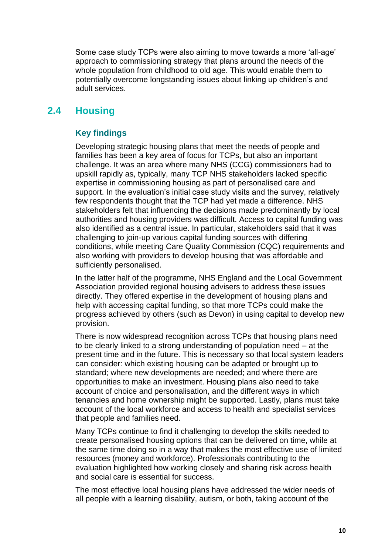Some case study TCPs were also aiming to move towards a more 'all-age' approach to commissioning strategy that plans around the needs of the whole population from childhood to old age. This would enable them to potentially overcome longstanding issues about linking up children's and adult services.

## <span id="page-12-0"></span>**2.4 Housing**

## **Key findings**

Developing strategic housing plans that meet the needs of people and families has been a key area of focus for TCPs, but also an important challenge. It was an area where many NHS (CCG) commissioners had to upskill rapidly as, typically, many TCP NHS stakeholders lacked specific expertise in commissioning housing as part of personalised care and support. In the evaluation's initial case study visits and the survey, relatively few respondents thought that the TCP had yet made a difference. NHS stakeholders felt that influencing the decisions made predominantly by local authorities and housing providers was difficult. Access to capital funding was also identified as a central issue. In particular, stakeholders said that it was challenging to join-up various capital funding sources with differing conditions, while meeting Care Quality Commission (CQC) requirements and also working with providers to develop housing that was affordable and sufficiently personalised.

In the latter half of the programme, NHS England and the Local Government Association provided regional housing advisers to address these issues directly. They offered expertise in the development of housing plans and help with accessing capital funding, so that more TCPs could make the progress achieved by others (such as Devon) in using capital to develop new provision.

There is now widespread recognition across TCPs that housing plans need to be clearly linked to a strong understanding of population need – at the present time and in the future. This is necessary so that local system leaders can consider: which existing housing can be adapted or brought up to standard; where new developments are needed; and where there are opportunities to make an investment. Housing plans also need to take account of choice and personalisation, and the different ways in which tenancies and home ownership might be supported. Lastly, plans must take account of the local workforce and access to health and specialist services that people and families need.

Many TCPs continue to find it challenging to develop the skills needed to create personalised housing options that can be delivered on time, while at the same time doing so in a way that makes the most effective use of limited resources (money and workforce). Professionals contributing to the evaluation highlighted how working closely and sharing risk across health and social care is essential for success.

The most effective local housing plans have addressed the wider needs of all people with a learning disability, autism, or both, taking account of the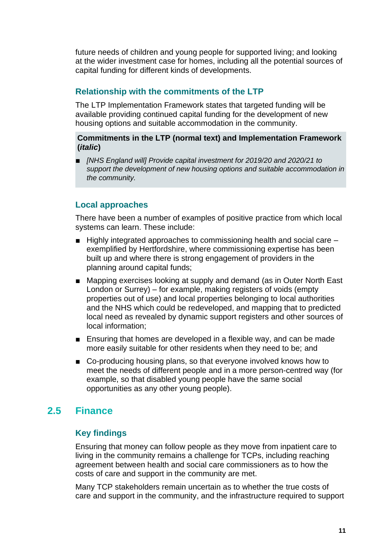future needs of children and young people for supported living; and looking at the wider investment case for homes, including all the potential sources of capital funding for different kinds of developments.

#### **Relationship with the commitments of the LTP**

The LTP Implementation Framework states that targeted funding will be available providing continued capital funding for the development of new housing options and suitable accommodation in the community.

#### **Commitments in the LTP (normal text) and Implementation Framework (***italic***)**

■ *[NHS England will] Provide capital investment for 2019/20 and 2020/21 to support the development of new housing options and suitable accommodation in the community.*

## **Local approaches**

There have been a number of examples of positive practice from which local systems can learn. These include:

- Highly integrated approaches to commissioning health and social care exemplified by Hertfordshire, where commissioning expertise has been built up and where there is strong engagement of providers in the planning around capital funds;
- Mapping exercises looking at supply and demand (as in Outer North East London or Surrey) – for example, making registers of voids (empty properties out of use) and local properties belonging to local authorities and the NHS which could be redeveloped, and mapping that to predicted local need as revealed by dynamic support registers and other sources of local information;
- Ensuring that homes are developed in a flexible way, and can be made more easily suitable for other residents when they need to be; and
- Co-producing housing plans, so that everyone involved knows how to meet the needs of different people and in a more person-centred way (for example, so that disabled young people have the same social opportunities as any other young people).

## <span id="page-13-0"></span>**2.5 Finance**

## **Key findings**

Ensuring that money can follow people as they move from inpatient care to living in the community remains a challenge for TCPs, including reaching agreement between health and social care commissioners as to how the costs of care and support in the community are met.

Many TCP stakeholders remain uncertain as to whether the true costs of care and support in the community, and the infrastructure required to support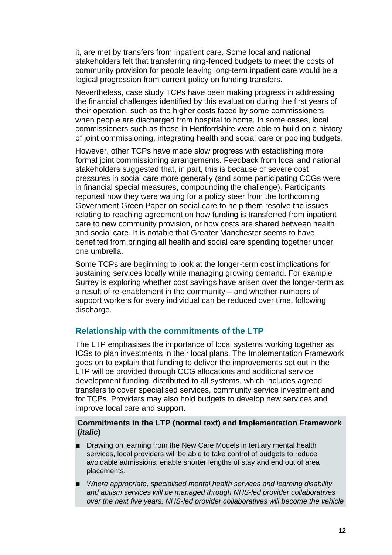it, are met by transfers from inpatient care. Some local and national stakeholders felt that transferring ring-fenced budgets to meet the costs of community provision for people leaving long-term inpatient care would be a logical progression from current policy on funding transfers.

Nevertheless, case study TCPs have been making progress in addressing the financial challenges identified by this evaluation during the first years of their operation, such as the higher costs faced by some commissioners when people are discharged from hospital to home. In some cases, local commissioners such as those in Hertfordshire were able to build on a history of joint commissioning, integrating health and social care or pooling budgets.

However, other TCPs have made slow progress with establishing more formal joint commissioning arrangements. Feedback from local and national stakeholders suggested that, in part, this is because of severe cost pressures in social care more generally (and some participating CCGs were in financial special measures, compounding the challenge). Participants reported how they were waiting for a policy steer from the forthcoming Government Green Paper on social care to help them resolve the issues relating to reaching agreement on how funding is transferred from inpatient care to new community provision, or how costs are shared between health and social care. It is notable that Greater Manchester seems to have benefited from bringing all health and social care spending together under one umbrella.

Some TCPs are beginning to look at the longer-term cost implications for sustaining services locally while managing growing demand. For example Surrey is exploring whether cost savings have arisen over the longer-term as a result of re-enablement in the community – and whether numbers of support workers for every individual can be reduced over time, following discharge.

#### **Relationship with the commitments of the LTP**

The LTP emphasises the importance of local systems working together as ICSs to plan investments in their local plans. The Implementation Framework goes on to explain that funding to deliver the improvements set out in the LTP will be provided through CCG allocations and additional service development funding, distributed to all systems, which includes agreed transfers to cover specialised services, community service investment and for TCPs. Providers may also hold budgets to develop new services and improve local care and support.

#### **Commitments in the LTP (normal text) and Implementation Framework (***italic***)**

- Drawing on learning from the New Care Models in tertiary mental health services, local providers will be able to take control of budgets to reduce avoidable admissions, enable shorter lengths of stay and end out of area placements.
- *Where appropriate, specialised mental health services and learning disability and autism services will be managed through NHS-led provider collaboratives over the next five years. NHS-led provider collaboratives will become the vehicle*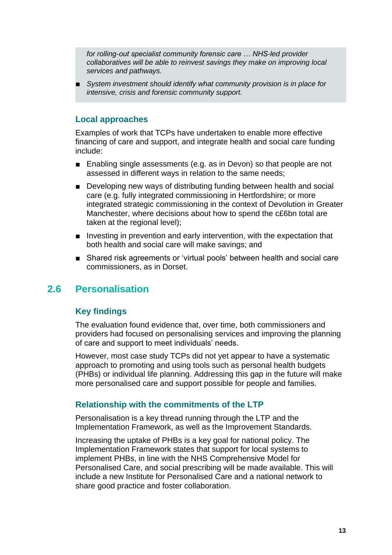*for rolling-out specialist community forensic care … NHS-led provider collaboratives will be able to reinvest savings they make on improving local services and pathways.* 

■ System investment should identify what community provision is in place for *intensive, crisis and forensic community support.* 

## **Local approaches**

Examples of work that TCPs have undertaken to enable more effective financing of care and support, and integrate health and social care funding include:

- Enabling single assessments (e.g. as in Devon) so that people are not assessed in different ways in relation to the same needs;
- Developing new ways of distributing funding between health and social care (e.g. fully integrated commissioning in Hertfordshire; or more integrated strategic commissioning in the context of Devolution in Greater Manchester, where decisions about how to spend the c£6bn total are taken at the regional level);
- Investing in prevention and early intervention, with the expectation that both health and social care will make savings; and
- Shared risk agreements or 'virtual pools' between health and social care commissioners, as in Dorset.

## <span id="page-15-0"></span>**2.6 Personalisation**

## **Key findings**

The evaluation found evidence that, over time, both commissioners and providers had focused on personalising services and improving the planning of care and support to meet individuals' needs.

However, most case study TCPs did not yet appear to have a systematic approach to promoting and using tools such as personal health budgets (PHBs) or individual life planning. Addressing this gap in the future will make more personalised care and support possible for people and families.

#### **Relationship with the commitments of the LTP**

Personalisation is a key thread running through the LTP and the Implementation Framework, as well as the Improvement Standards.

Increasing the uptake of PHBs is a key goal for national policy. The Implementation Framework states that support for local systems to implement PHBs, in line with the NHS Comprehensive Model for Personalised Care, and social prescribing will be made available. This will include a new Institute for Personalised Care and a national network to share good practice and foster collaboration.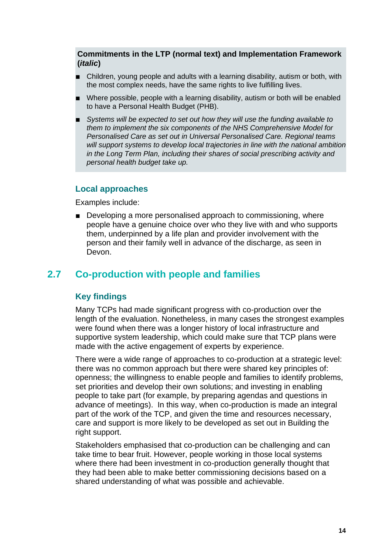#### **Commitments in the LTP (normal text) and Implementation Framework (***italic***)**

- Children, young people and adults with a learning disability, autism or both, with the most complex needs, have the same rights to live fulfilling lives.
- Where possible, people with a learning disability, autism or both will be enabled to have a Personal Health Budget (PHB).
- Systems will be expected to set out how they will use the funding available to *them to implement the six components of the NHS Comprehensive Model for Personalised Care as set out in Universal Personalised Care. Regional teams will support systems to develop local trajectories in line with the national ambition in the Long Term Plan, including their shares of social prescribing activity and personal health budget take up.*

#### **Local approaches**

Examples include:

■ Developing a more personalised approach to commissioning, where people have a genuine choice over who they live with and who supports them, underpinned by a life plan and provider involvement with the person and their family well in advance of the discharge, as seen in Devon.

## <span id="page-16-0"></span>**2.7 Co-production with people and families**

## **Key findings**

Many TCPs had made significant progress with co-production over the length of the evaluation. Nonetheless, in many cases the strongest examples were found when there was a longer history of local infrastructure and supportive system leadership, which could make sure that TCP plans were made with the active engagement of experts by experience.

There were a wide range of approaches to co-production at a strategic level: there was no common approach but there were shared key principles of: openness; the willingness to enable people and families to identify problems, set priorities and develop their own solutions; and investing in enabling people to take part (for example, by preparing agendas and questions in advance of meetings). In this way, when co-production is made an integral part of the work of the TCP, and given the time and resources necessary, care and support is more likely to be developed as set out in Building the right support.

Stakeholders emphasised that co-production can be challenging and can take time to bear fruit. However, people working in those local systems where there had been investment in co-production generally thought that they had been able to make better commissioning decisions based on a shared understanding of what was possible and achievable.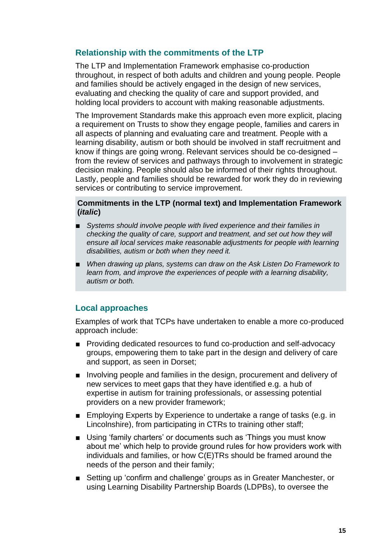## **Relationship with the commitments of the LTP**

The LTP and Implementation Framework emphasise co-production throughout, in respect of both adults and children and young people. People and families should be actively engaged in the design of new services, evaluating and checking the quality of care and support provided, and holding local providers to account with making reasonable adjustments.

The Improvement Standards make this approach even more explicit, placing a requirement on Trusts to show they engage people, families and carers in all aspects of planning and evaluating care and treatment. People with a learning disability, autism or both should be involved in staff recruitment and know if things are going wrong. Relevant services should be co-designed – from the review of services and pathways through to involvement in strategic decision making. People should also be informed of their rights throughout. Lastly, people and families should be rewarded for work they do in reviewing services or contributing to service improvement.

#### **Commitments in the LTP (normal text) and Implementation Framework (***italic***)**

- *Systems should involve people with lived experience and their families in checking the quality of care, support and treatment, and set out how they will ensure all local services make reasonable adjustments for people with learning disabilities, autism or both when they need it.*
- *When drawing up plans, systems can draw on the Ask Listen Do Framework to learn from, and improve the experiences of people with a learning disability, autism or both.*

#### **Local approaches**

Examples of work that TCPs have undertaken to enable a more co-produced approach include:

- Providing dedicated resources to fund co-production and self-advocacy groups, empowering them to take part in the design and delivery of care and support, as seen in Dorset;
- Involving people and families in the design, procurement and delivery of new services to meet gaps that they have identified e.g. a hub of expertise in autism for training professionals, or assessing potential providers on a new provider framework;
- Employing Experts by Experience to undertake a range of tasks (e.g. in Lincolnshire), from participating in CTRs to training other staff;
- Using 'family charters' or documents such as 'Things you must know about me' which help to provide ground rules for how providers work with individuals and families, or how C(E)TRs should be framed around the needs of the person and their family;
- Setting up 'confirm and challenge' groups as in Greater Manchester, or using Learning Disability Partnership Boards (LDPBs), to oversee the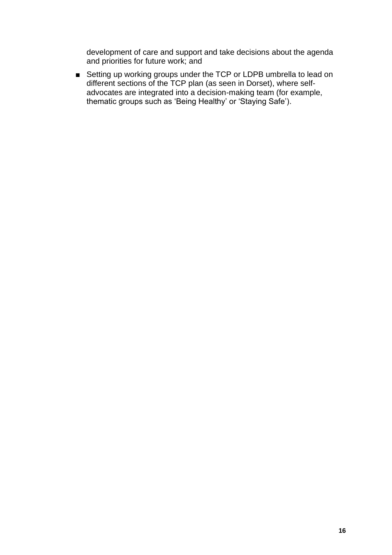development of care and support and take decisions about the agenda and priorities for future work; and

■ Setting up working groups under the TCP or LDPB umbrella to lead on different sections of the TCP plan (as seen in Dorset), where selfadvocates are integrated into a decision-making team (for example, thematic groups such as 'Being Healthy' or 'Staying Safe').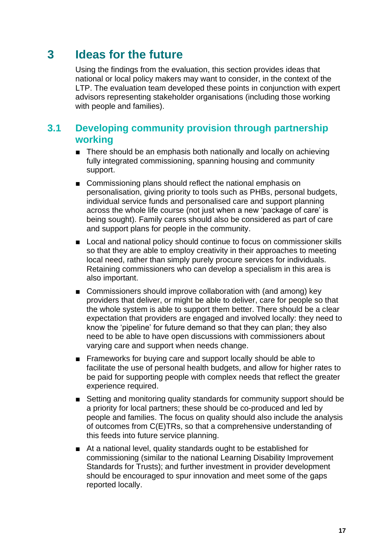## <span id="page-19-0"></span>**3 Ideas for the future**

Using the findings from the evaluation, this section provides ideas that national or local policy makers may want to consider, in the context of the LTP. The evaluation team developed these points in conjunction with expert advisors representing stakeholder organisations (including those working with people and families).

## <span id="page-19-1"></span>**3.1 Developing community provision through partnership working**

- There should be an emphasis both nationally and locally on achieving fully integrated commissioning, spanning housing and community support.
- Commissioning plans should reflect the national emphasis on personalisation, giving priority to tools such as PHBs, personal budgets, individual service funds and personalised care and support planning across the whole life course (not just when a new 'package of care' is being sought). Family carers should also be considered as part of care and support plans for people in the community.
- Local and national policy should continue to focus on commissioner skills so that they are able to employ creativity in their approaches to meeting local need, rather than simply purely procure services for individuals. Retaining commissioners who can develop a specialism in this area is also important.
- Commissioners should improve collaboration with (and among) key providers that deliver, or might be able to deliver, care for people so that the whole system is able to support them better. There should be a clear expectation that providers are engaged and involved locally: they need to know the 'pipeline' for future demand so that they can plan; they also need to be able to have open discussions with commissioners about varying care and support when needs change.
- Frameworks for buying care and support locally should be able to facilitate the use of personal health budgets, and allow for higher rates to be paid for supporting people with complex needs that reflect the greater experience required.
- Setting and monitoring quality standards for community support should be a priority for local partners; these should be co-produced and led by people and families. The focus on quality should also include the analysis of outcomes from C(E)TRs, so that a comprehensive understanding of this feeds into future service planning.
- At a national level, quality standards ought to be established for commissioning (similar to the national Learning Disability Improvement Standards for Trusts); and further investment in provider development should be encouraged to spur innovation and meet some of the gaps reported locally.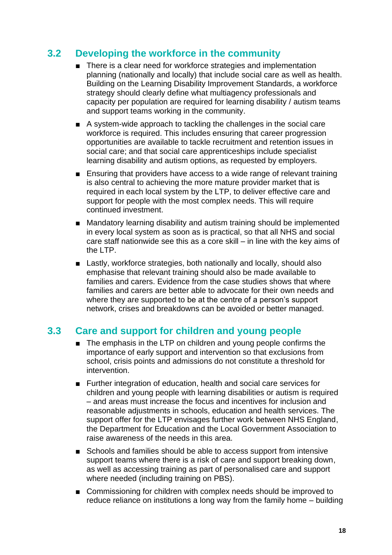## <span id="page-20-0"></span>**3.2 Developing the workforce in the community**

- There is a clear need for workforce strategies and implementation planning (nationally and locally) that include social care as well as health. Building on the Learning Disability Improvement Standards, a workforce strategy should clearly define what multiagency professionals and capacity per population are required for learning disability / autism teams and support teams working in the community.
- A system-wide approach to tackling the challenges in the social care workforce is required. This includes ensuring that career progression opportunities are available to tackle recruitment and retention issues in social care; and that social care apprenticeships include specialist learning disability and autism options, as requested by employers.
- Ensuring that providers have access to a wide range of relevant training is also central to achieving the more mature provider market that is required in each local system by the LTP, to deliver effective care and support for people with the most complex needs. This will require continued investment.
- Mandatory learning disability and autism training should be implemented in every local system as soon as is practical, so that all NHS and social care staff nationwide see this as a core skill – in line with the key aims of the LTP.
- Lastly, workforce strategies, both nationally and locally, should also emphasise that relevant training should also be made available to families and carers. Evidence from the case studies shows that where families and carers are better able to advocate for their own needs and where they are supported to be at the centre of a person's support network, crises and breakdowns can be avoided or better managed.

## <span id="page-20-1"></span>**3.3 Care and support for children and young people**

- The emphasis in the LTP on children and young people confirms the importance of early support and intervention so that exclusions from school, crisis points and admissions do not constitute a threshold for intervention.
- Further integration of education, health and social care services for children and young people with learning disabilities or autism is required – and areas must increase the focus and incentives for inclusion and reasonable adjustments in schools, education and health services. The support offer for the LTP envisages further work between NHS England, the Department for Education and the Local Government Association to raise awareness of the needs in this area.
- Schools and families should be able to access support from intensive support teams where there is a risk of care and support breaking down, as well as accessing training as part of personalised care and support where needed (including training on PBS).
- Commissioning for children with complex needs should be improved to reduce reliance on institutions a long way from the family home – building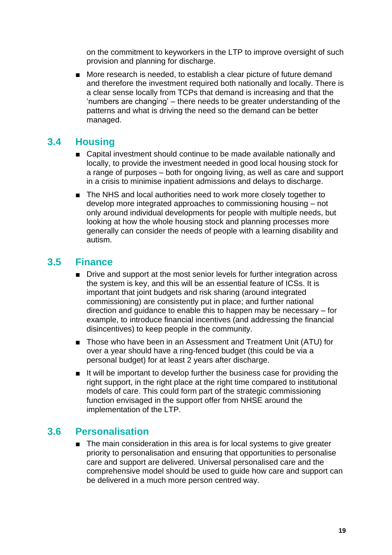on the commitment to keyworkers in the LTP to improve oversight of such provision and planning for discharge.

■ More research is needed, to establish a clear picture of future demand and therefore the investment required both nationally and locally. There is a clear sense locally from TCPs that demand is increasing and that the 'numbers are changing' – there needs to be greater understanding of the patterns and what is driving the need so the demand can be better managed.

## <span id="page-21-0"></span>**3.4 Housing**

- Capital investment should continue to be made available nationally and locally, to provide the investment needed in good local housing stock for a range of purposes – both for ongoing living, as well as care and support in a crisis to minimise inpatient admissions and delays to discharge.
- The NHS and local authorities need to work more closely together to develop more integrated approaches to commissioning housing – not only around individual developments for people with multiple needs, but looking at how the whole housing stock and planning processes more generally can consider the needs of people with a learning disability and autism.

## <span id="page-21-1"></span>**3.5 Finance**

- Drive and support at the most senior levels for further integration across the system is key, and this will be an essential feature of ICSs. It is important that joint budgets and risk sharing (around integrated commissioning) are consistently put in place; and further national direction and guidance to enable this to happen may be necessary – for example, to introduce financial incentives (and addressing the financial disincentives) to keep people in the community.
- Those who have been in an Assessment and Treatment Unit (ATU) for over a year should have a ring-fenced budget (this could be via a personal budget) for at least 2 years after discharge.
- It will be important to develop further the business case for providing the right support, in the right place at the right time compared to institutional models of care. This could form part of the strategic commissioning function envisaged in the support offer from NHSE around the implementation of the LTP.

## <span id="page-21-2"></span>**3.6 Personalisation**

■ The main consideration in this area is for local systems to give greater priority to personalisation and ensuring that opportunities to personalise care and support are delivered. Universal personalised care and the comprehensive model should be used to guide how care and support can be delivered in a much more person centred way.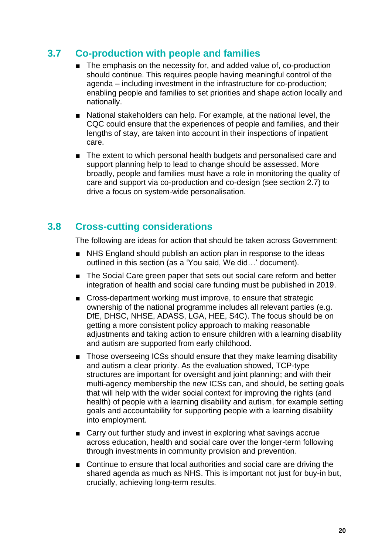## <span id="page-22-0"></span>**3.7 Co-production with people and families**

- The emphasis on the necessity for, and added value of, co-production should continue. This requires people having meaningful control of the agenda – including investment in the infrastructure for co-production; enabling people and families to set priorities and shape action locally and nationally.
- National stakeholders can help. For example, at the national level, the CQC could ensure that the experiences of people and families, and their lengths of stay, are taken into account in their inspections of inpatient care.
- The extent to which personal health budgets and personalised care and support planning help to lead to change should be assessed. More broadly, people and families must have a role in monitoring the quality of care and support via co-production and co-design (see section 2.7) to drive a focus on system-wide personalisation.

## <span id="page-22-1"></span>**3.8 Cross-cutting considerations**

The following are ideas for action that should be taken across Government:

- NHS England should publish an action plan in response to the ideas outlined in this section (as a 'You said, We did…' document).
- The Social Care green paper that sets out social care reform and better integration of health and social care funding must be published in 2019.
- Cross-department working must improve, to ensure that strategic ownership of the national programme includes all relevant parties (e.g. DfE, DHSC, NHSE, ADASS, LGA, HEE, S4C). The focus should be on getting a more consistent policy approach to making reasonable adjustments and taking action to ensure children with a learning disability and autism are supported from early childhood.
- Those overseeing ICSs should ensure that they make learning disability and autism a clear priority. As the evaluation showed, TCP-type structures are important for oversight and joint planning; and with their multi-agency membership the new ICSs can, and should, be setting goals that will help with the wider social context for improving the rights (and health) of people with a learning disability and autism, for example setting goals and accountability for supporting people with a learning disability into employment.
- Carry out further study and invest in exploring what savings accrue across education, health and social care over the longer-term following through investments in community provision and prevention.
- Continue to ensure that local authorities and social care are driving the shared agenda as much as NHS. This is important not just for buy-in but, crucially, achieving long-term results.